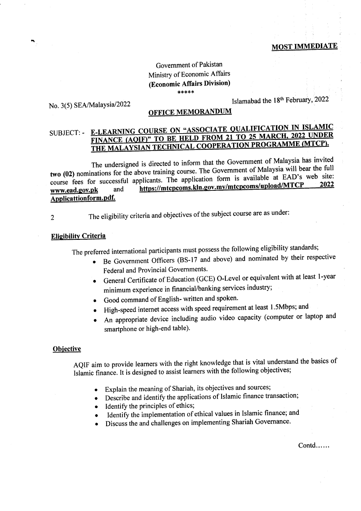### MOST IMMEDIATE

### Government of Pakistan Ministry of Economic Affairs (Economic Affairs Division) \*tS\*'ktk

# No. 3(5) SEA/Malaysia/2022

# Islamabad the 18<sup>th</sup> February, 2022

# OFTICE MEMORANDUM

# SUBJECT: - E-LEARNING COURSE ON " FINANCE (AQIF)" TO BE HELD FROM 21 TO 20 MILLER MATCH.<br>THE MALAYSIAN TECHNICAL COOPERATION PROGRAMME (MTCP).

The undersigned is directed to inform that the Government of Malaysia has invited two (02) nominations for the above training course. The Government of Malaysia will bear the full course fees for successful applicants. The application form is available at EAD's web site:<br>www.ead.gov.pk and https://mtcpcoms.kln.gov.my/mtcpcoms/upload/MTCP 2022 www.ead.gov.pk Applicattion form.pdf.

2

The eligibility criteria and objectives of the subject course are as under:

### **Eligibility Criteria**

The preferred international participants must possess the following eligibility standards;

- o Be Government Officers (BS-17 and above) and nominated by their respective Federal and Provincial Governments.
- General Certificate of Education (GCE) O-Level or equivalent with at least 1-year minimum experience in financial/banking services industry;
- Good command of English- written and spoken.
- o High-speed internet access with speed requirement at least l'5Mbps; and
- An appropriate device including audio video capacity (computer or laptop and smartphone or high-end table).

### **Objective**

AQIF aim to provide learners with the right knowledge that is vital understand the basics of Islamic finance. It is designed to assist learners with the following objectives;

- Explain the meaning of Shariah, its objectives and sources;
- Describe and identify the applications of Islamic finance transaction;
- Identify the principles of ethics;
- Identify the implementation of ethical values in Islamic finance; and
- Discuss the and challenges on implementing Shariah Governance.

Contd.....